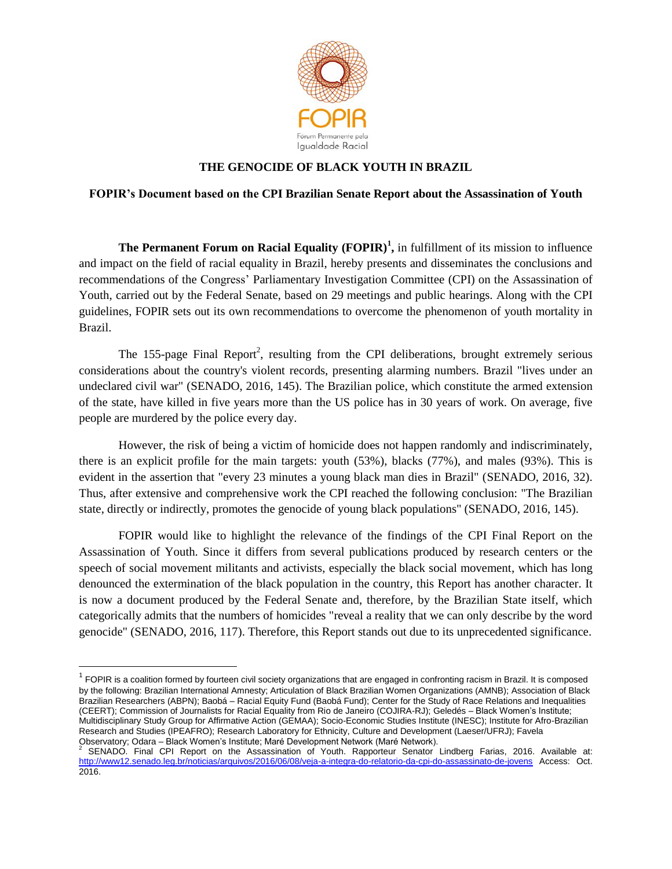

## **THE GENOCIDE OF BLACK YOUTH IN BRAZIL**

### **FOPIR's Document based on the CPI Brazilian Senate Report about the Assassination of Youth**

**The Permanent Forum on Racial Equality (FOPIR)<sup>1</sup> ,** in fulfillment of its mission to influence and impact on the field of racial equality in Brazil, hereby presents and disseminates the conclusions and recommendations of the Congress" Parliamentary Investigation Committee (CPI) on the Assassination of Youth, carried out by the Federal Senate, based on 29 meetings and public hearings. Along with the CPI guidelines, FOPIR sets out its own recommendations to overcome the phenomenon of youth mortality in Brazil.

The 155-page Final Report<sup>2</sup>, resulting from the CPI deliberations, brought extremely serious considerations about the country's violent records, presenting alarming numbers. Brazil "lives under an undeclared civil war" (SENADO, 2016, 145). The Brazilian police, which constitute the armed extension of the state, have killed in five years more than the US police has in 30 years of work. On average, five people are murdered by the police every day.

However, the risk of being a victim of homicide does not happen randomly and indiscriminately, there is an explicit profile for the main targets: youth (53%), blacks (77%), and males (93%). This is evident in the assertion that "every 23 minutes a young black man dies in Brazil" (SENADO, 2016, 32). Thus, after extensive and comprehensive work the CPI reached the following conclusion: "The Brazilian state, directly or indirectly, promotes the genocide of young black populations" (SENADO, 2016, 145).

FOPIR would like to highlight the relevance of the findings of the CPI Final Report on the Assassination of Youth. Since it differs from several publications produced by research centers or the speech of social movement militants and activists, especially the black social movement, which has long denounced the extermination of the black population in the country, this Report has another character. It is now a document produced by the Federal Senate and, therefore, by the Brazilian State itself, which categorically admits that the numbers of homicides "reveal a reality that we can only describe by the word genocide" (SENADO, 2016, 117). Therefore, this Report stands out due to its unprecedented significance.

 $\overline{\phantom{a}}$ 

 $1$  FOPIR is a coalition formed by fourteen civil society organizations that are engaged in confronting racism in Brazil. It is composed by the following: Brazilian International Amnesty; Articulation of Black Brazilian Women Organizations (AMNB); Association of Black Brazilian Researchers (ABPN); Baobá – Racial Equity Fund (Baobá Fund); Center for the Study of Race Relations and Inequalities (CEERT); Commission of Journalists for Racial Equality from Rio de Janeiro (COJIRA-RJ); Geledés – Black Women's Institute; Multidisciplinary Study Group for Affirmative Action (GEMAA); Socio-Economic Studies Institute (INESC); Institute for Afro-Brazilian Research and Studies (IPEAFRO); Research Laboratory for Ethnicity, Culture and Development (Laeser/UFRJ); Favela

Observatory; Odara – Black Women's Institute; Maré Development Network (Maré Network).<br><sup>2</sup> SENADO. Final CPI Report on the Assassination of Youth. Rapporteur Senator Lindberg Farias, 2016. Available at: <http://www12.senado.leg.br/noticias/arquivos/2016/06/08/veja-a-integra-do-relatorio-da-cpi-do-assassinato-de-jovens> Access: Oct. 2016.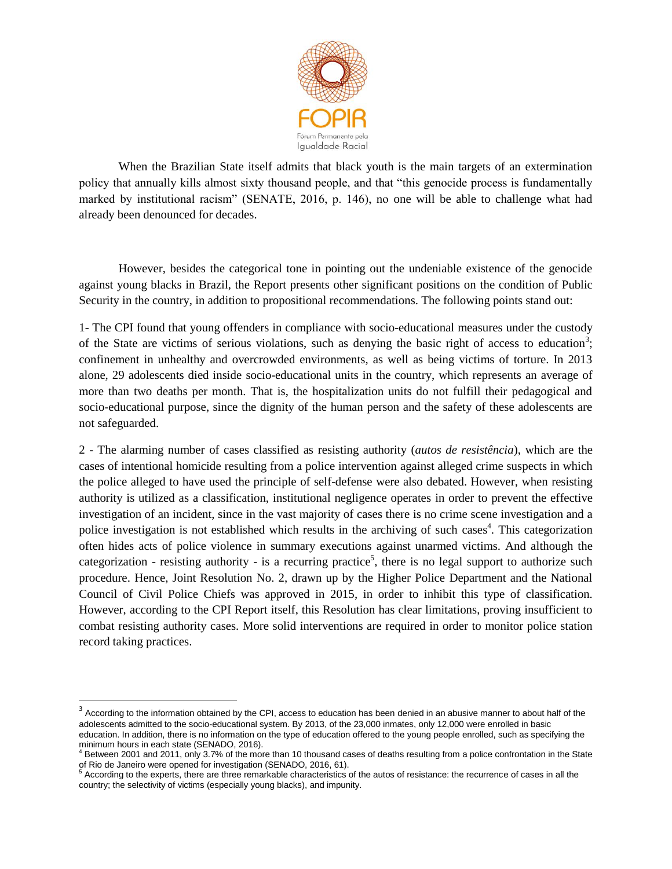

When the Brazilian State itself admits that black youth is the main targets of an extermination policy that annually kills almost sixty thousand people, and that "this genocide process is fundamentally marked by institutional racism" (SENATE, 2016, p. 146), no one will be able to challenge what had already been denounced for decades.

However, besides the categorical tone in pointing out the undeniable existence of the genocide against young blacks in Brazil, the Report presents other significant positions on the condition of Public Security in the country, in addition to propositional recommendations. The following points stand out:

1- The CPI found that young offenders in compliance with socio-educational measures under the custody of the State are victims of serious violations, such as denying the basic right of access to education<sup>3</sup>; confinement in unhealthy and overcrowded environments, as well as being victims of torture. In 2013 alone, 29 adolescents died inside socio-educational units in the country, which represents an average of more than two deaths per month. That is, the hospitalization units do not fulfill their pedagogical and socio-educational purpose, since the dignity of the human person and the safety of these adolescents are not safeguarded.

2 - The alarming number of cases classified as resisting authority (*autos de resistência*), which are the cases of intentional homicide resulting from a police intervention against alleged crime suspects in which the police alleged to have used the principle of self-defense were also debated. However, when resisting authority is utilized as a classification, institutional negligence operates in order to prevent the effective investigation of an incident, since in the vast majority of cases there is no crime scene investigation and a police investigation is not established which results in the archiving of such cases<sup>4</sup>. This categorization often hides acts of police violence in summary executions against unarmed victims. And although the categorization - resisting authority - is a recurring practice<sup>5</sup>, there is no legal support to authorize such procedure. Hence, Joint Resolution No. 2, drawn up by the Higher Police Department and the National Council of Civil Police Chiefs was approved in 2015, in order to inhibit this type of classification. However, according to the CPI Report itself, this Resolution has clear limitations, proving insufficient to combat resisting authority cases. More solid interventions are required in order to monitor police station record taking practices.

**According to the information obtained by the CPI**, access to education has been denied in an abusive manner to about half of the **According** to the information obtained by the CPI, access to education has been denied in a adolescents admitted to the socio-educational system. By 2013, of the 23,000 inmates, only 12,000 were enrolled in basic education. In addition, there is no information on the type of education offered to the young people enrolled, such as specifying the minimum hours in each state (SENADO, 2016).<br><sup>4</sup> Between 2001 and 2011, only 3.7% of the more than 10 thousand cases of deaths resulting from a police confrontation in the State

of Rio de Janeiro were opened for investigation (SENADO, 2016, 61).<br><sup>5</sup> According to the experts, there are three remarkable characteristics of the autos of resistance: the recurrence of cases in all the country; the selectivity of victims (especially young blacks), and impunity.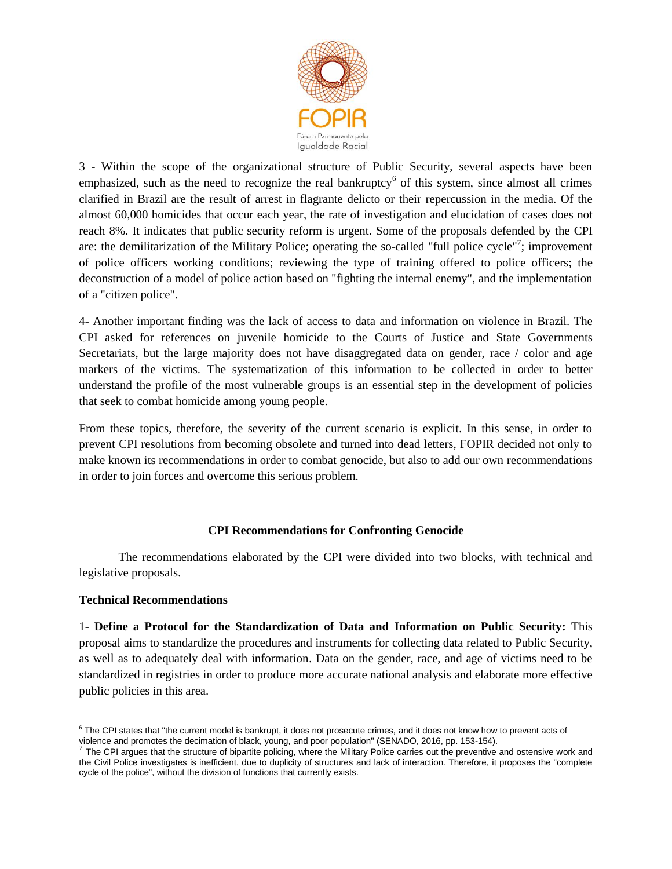

3 - Within the scope of the organizational structure of Public Security, several aspects have been emphasized, such as the need to recognize the real bankruptcy $6$  of this system, since almost all crimes clarified in Brazil are the result of arrest in flagrante delicto or their repercussion in the media. Of the almost 60,000 homicides that occur each year, the rate of investigation and elucidation of cases does not reach 8%. It indicates that public security reform is urgent. Some of the proposals defended by the CPI are: the demilitarization of the Military Police; operating the so-called "full police cycle"<sup>7</sup>; improvement of police officers working conditions; reviewing the type of training offered to police officers; the deconstruction of a model of police action based on "fighting the internal enemy", and the implementation of a "citizen police".

4- Another important finding was the lack of access to data and information on violence in Brazil. The CPI asked for references on juvenile homicide to the Courts of Justice and State Governments Secretariats, but the large majority does not have disaggregated data on gender, race / color and age markers of the victims. The systematization of this information to be collected in order to better understand the profile of the most vulnerable groups is an essential step in the development of policies that seek to combat homicide among young people.

From these topics, therefore, the severity of the current scenario is explicit. In this sense, in order to prevent CPI resolutions from becoming obsolete and turned into dead letters, FOPIR decided not only to make known its recommendations in order to combat genocide, but also to add our own recommendations in order to join forces and overcome this serious problem.

# **CPI Recommendations for Confronting Genocide**

The recommendations elaborated by the CPI were divided into two blocks, with technical and legislative proposals.

#### **Technical Recommendations**

1- **Define a Protocol for the Standardization of Data and Information on Public Security:** This proposal aims to standardize the procedures and instruments for collecting data related to Public Security, as well as to adequately deal with information. Data on the gender, race, and age of victims need to be standardized in registries in order to produce more accurate national analysis and elaborate more effective public policies in this area.

 6 The CPI states that "the current model is bankrupt, it does not prosecute crimes, and it does not know how to prevent acts of

violence and promotes the decimation of black, young, and poor population" (SENADO, 2016, pp. 153-154).<br><sup>7</sup> The CPI argues that the structure of bipartite policing, where the Military Police carries out the preventive and the Civil Police investigates is inefficient, due to duplicity of structures and lack of interaction. Therefore, it proposes the "complete cycle of the police", without the division of functions that currently exists.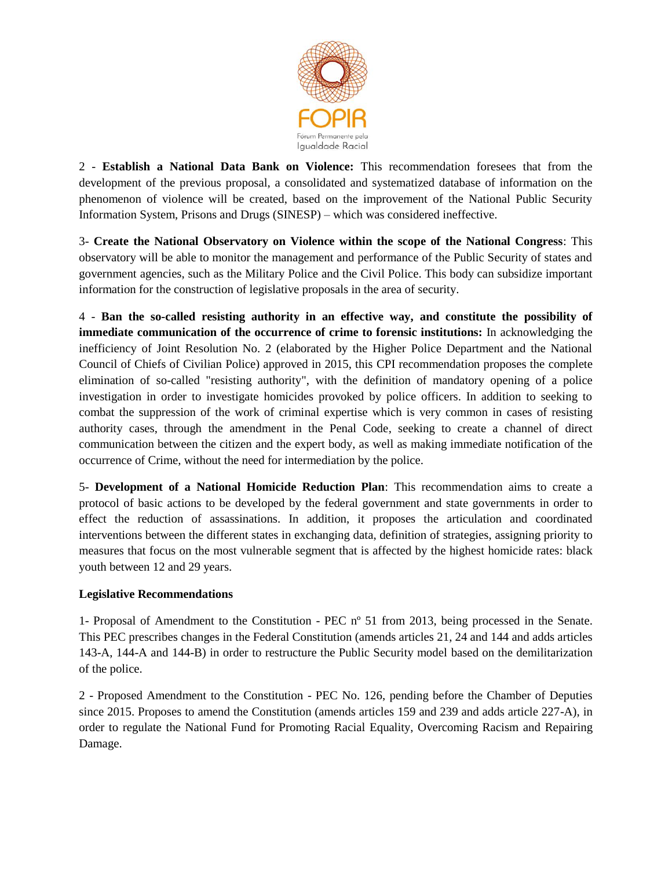

2 - **Establish a National Data Bank on Violence:** This recommendation foresees that from the development of the previous proposal, a consolidated and systematized database of information on the phenomenon of violence will be created, based on the improvement of the National Public Security Information System, Prisons and Drugs (SINESP) – which was considered ineffective.

3- **Create the National Observatory on Violence within the scope of the National Congress**: This observatory will be able to monitor the management and performance of the Public Security of states and government agencies, such as the Military Police and the Civil Police. This body can subsidize important information for the construction of legislative proposals in the area of security.

4 - **Ban the so-called resisting authority in an effective way, and constitute the possibility of immediate communication of the occurrence of crime to forensic institutions:** In acknowledging the inefficiency of Joint Resolution No. 2 (elaborated by the Higher Police Department and the National Council of Chiefs of Civilian Police) approved in 2015, this CPI recommendation proposes the complete elimination of so-called "resisting authority", with the definition of mandatory opening of a police investigation in order to investigate homicides provoked by police officers. In addition to seeking to combat the suppression of the work of criminal expertise which is very common in cases of resisting authority cases, through the amendment in the Penal Code, seeking to create a channel of direct communication between the citizen and the expert body, as well as making immediate notification of the occurrence of Crime, without the need for intermediation by the police.

5- **Development of a National Homicide Reduction Plan**: This recommendation aims to create a protocol of basic actions to be developed by the federal government and state governments in order to effect the reduction of assassinations. In addition, it proposes the articulation and coordinated interventions between the different states in exchanging data, definition of strategies, assigning priority to measures that focus on the most vulnerable segment that is affected by the highest homicide rates: black youth between 12 and 29 years.

# **Legislative Recommendations**

1- Proposal of Amendment to the Constitution - PEC nº 51 from 2013, being processed in the Senate. This PEC prescribes changes in the Federal Constitution (amends articles 21, 24 and 144 and adds articles 143-A, 144-A and 144-B) in order to restructure the Public Security model based on the demilitarization of the police.

2 - Proposed Amendment to the Constitution - PEC No. 126, pending before the Chamber of Deputies since 2015. Proposes to amend the Constitution (amends articles 159 and 239 and adds article 227-A), in order to regulate the National Fund for Promoting Racial Equality, Overcoming Racism and Repairing Damage.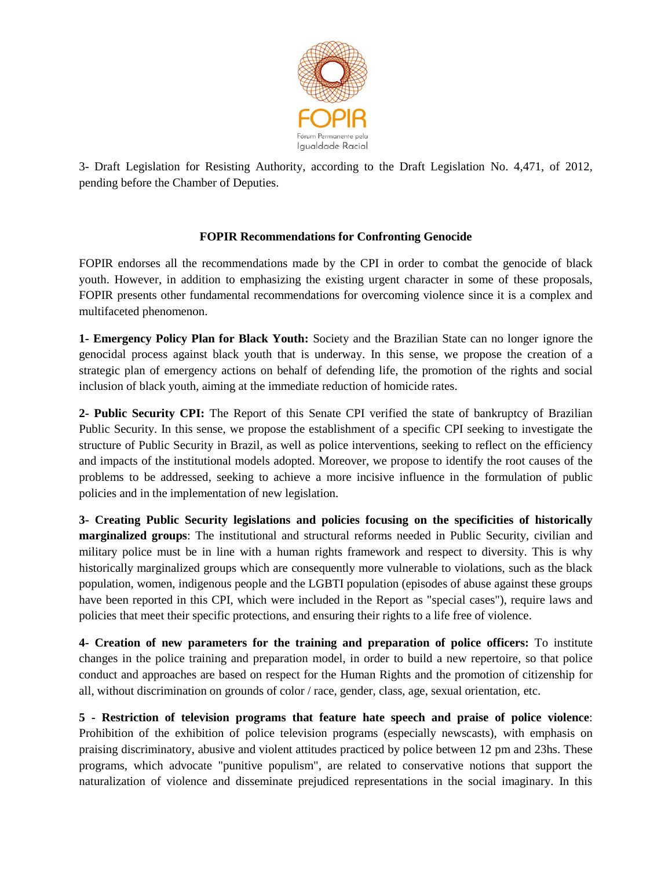

3- Draft Legislation for Resisting Authority, according to the Draft Legislation No. 4,471, of 2012, pending before the Chamber of Deputies.

# **FOPIR Recommendations for Confronting Genocide**

FOPIR endorses all the recommendations made by the CPI in order to combat the genocide of black youth. However, in addition to emphasizing the existing urgent character in some of these proposals, FOPIR presents other fundamental recommendations for overcoming violence since it is a complex and multifaceted phenomenon.

**1- Emergency Policy Plan for Black Youth:** Society and the Brazilian State can no longer ignore the genocidal process against black youth that is underway. In this sense, we propose the creation of a strategic plan of emergency actions on behalf of defending life, the promotion of the rights and social inclusion of black youth, aiming at the immediate reduction of homicide rates.

**2- Public Security CPI:** The Report of this Senate CPI verified the state of bankruptcy of Brazilian Public Security. In this sense, we propose the establishment of a specific CPI seeking to investigate the structure of Public Security in Brazil, as well as police interventions, seeking to reflect on the efficiency and impacts of the institutional models adopted. Moreover, we propose to identify the root causes of the problems to be addressed, seeking to achieve a more incisive influence in the formulation of public policies and in the implementation of new legislation.

**3- Creating Public Security legislations and policies focusing on the specificities of historically marginalized groups**: The institutional and structural reforms needed in Public Security, civilian and military police must be in line with a human rights framework and respect to diversity. This is why historically marginalized groups which are consequently more vulnerable to violations, such as the black population, women, indigenous people and the LGBTI population (episodes of abuse against these groups have been reported in this CPI, which were included in the Report as "special cases"), require laws and policies that meet their specific protections, and ensuring their rights to a life free of violence.

**4- Creation of new parameters for the training and preparation of police officers:** To institute changes in the police training and preparation model, in order to build a new repertoire, so that police conduct and approaches are based on respect for the Human Rights and the promotion of citizenship for all, without discrimination on grounds of color / race, gender, class, age, sexual orientation, etc.

**5 - Restriction of television programs that feature hate speech and praise of police violence**: Prohibition of the exhibition of police television programs (especially newscasts), with emphasis on praising discriminatory, abusive and violent attitudes practiced by police between 12 pm and 23hs. These programs, which advocate "punitive populism", are related to conservative notions that support the naturalization of violence and disseminate prejudiced representations in the social imaginary. In this